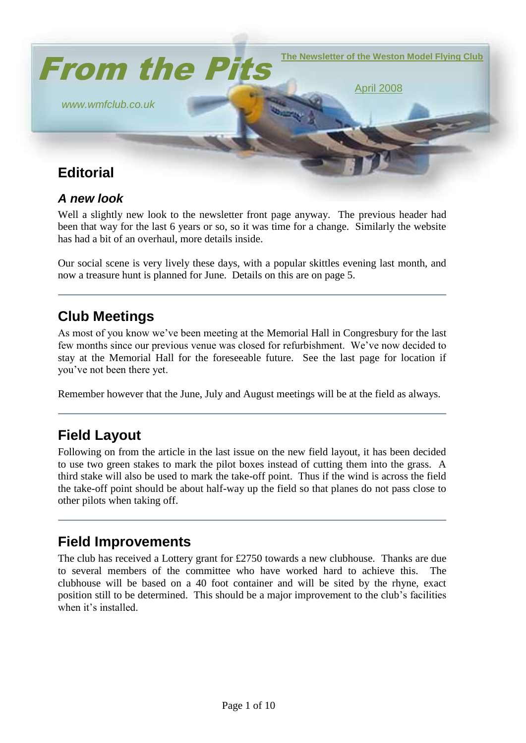

#### *A new look*

Well a slightly new look to the newsletter front page anyway. The previous header had been that way for the last 6 years or so, so it was time for a change. Similarly the website has had a bit of an overhaul, more details inside.

Our social scene is very lively these days, with a popular skittles evening last month, and now a treasure hunt is planned for June. Details on this are on page 5.

## **Club Meetings**

As most of you know we"ve been meeting at the Memorial Hall in Congresbury for the last few months since our previous venue was closed for refurbishment. We"ve now decided to stay at the Memorial Hall for the foreseeable future. See the last page for location if you"ve not been there yet.

Remember however that the June, July and August meetings will be at the field as always.

## **Field Layout**

Following on from the article in the last issue on the new field layout, it has been decided to use two green stakes to mark the pilot boxes instead of cutting them into the grass. A third stake will also be used to mark the take-off point. Thus if the wind is across the field the take-off point should be about half-way up the field so that planes do not pass close to other pilots when taking off.

## **Field Improvements**

The club has received a Lottery grant for £2750 towards a new clubhouse. Thanks are due to several members of the committee who have worked hard to achieve this. The clubhouse will be based on a 40 foot container and will be sited by the rhyne, exact position still to be determined. This should be a major improvement to the club"s facilities when it's installed.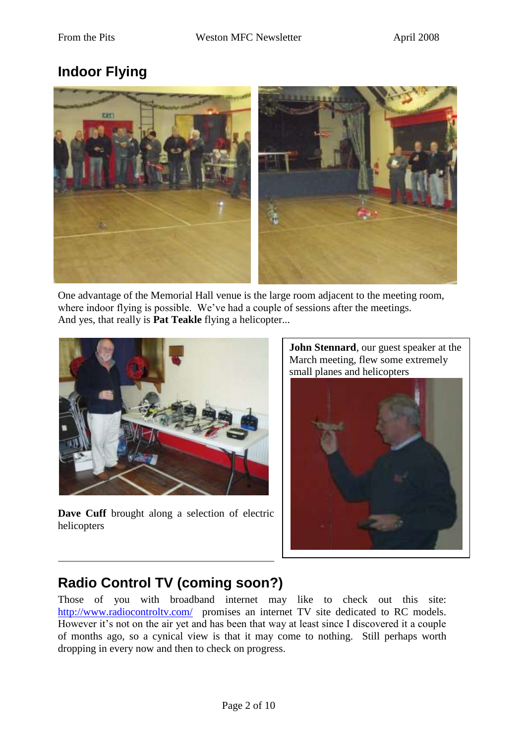# **Indoor Flying**



One advantage of the Memorial Hall venue is the large room adjacent to the meeting room, where indoor flying is possible. We've had a couple of sessions after the meetings. And yes, that really is **Pat Teakle** flying a helicopter...



Dave Cuff brought along a selection of electric helicopters

**John Stennard**, our guest speaker at the March meeting, flew some extremely small planes and helicopters



# **Radio Control TV (coming soon?)**

Those of you with broadband internet may like to check out this site: <http://www.radiocontroltv.com/>promises an internet TV site dedicated to RC models. However it's not on the air yet and has been that way at least since I discovered it a couple of months ago, so a cynical view is that it may come to nothing. Still perhaps worth dropping in every now and then to check on progress.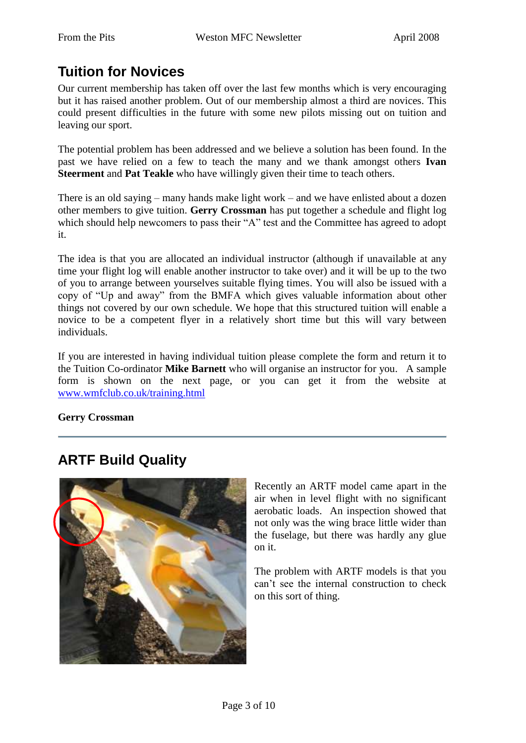# **Tuition for Novices**

Our current membership has taken off over the last few months which is very encouraging but it has raised another problem. Out of our membership almost a third are novices. This could present difficulties in the future with some new pilots missing out on tuition and leaving our sport.

The potential problem has been addressed and we believe a solution has been found. In the past we have relied on a few to teach the many and we thank amongst others **Ivan Steerment** and **Pat Teakle** who have willingly given their time to teach others.

There is an old saying – many hands make light work – and we have enlisted about a dozen other members to give tuition. **Gerry Crossman** has put together a schedule and flight log which should help newcomers to pass their "A" test and the Committee has agreed to adopt it.

The idea is that you are allocated an individual instructor (although if unavailable at any time your flight log will enable another instructor to take over) and it will be up to the two of you to arrange between yourselves suitable flying times. You will also be issued with a copy of "Up and away" from the BMFA which gives valuable information about other things not covered by our own schedule. We hope that this structured tuition will enable a novice to be a competent flyer in a relatively short time but this will vary between individuals.

If you are interested in having individual tuition please complete the form and return it to the Tuition Co-ordinator **Mike Barnett** who will organise an instructor for you. A sample form is shown on the next page, or you can get it from the website at [www.wmfclub.co.uk/training.html](http://www.wmfclub.co.uk/training.html)

**Gerry Crossman**

# **ARTF Build Quality**



Recently an ARTF model came apart in the air when in level flight with no significant aerobatic loads. An inspection showed that not only was the wing brace little wider than the fuselage, but there was hardly any glue on it.

The problem with ARTF models is that you can"t see the internal construction to check on this sort of thing.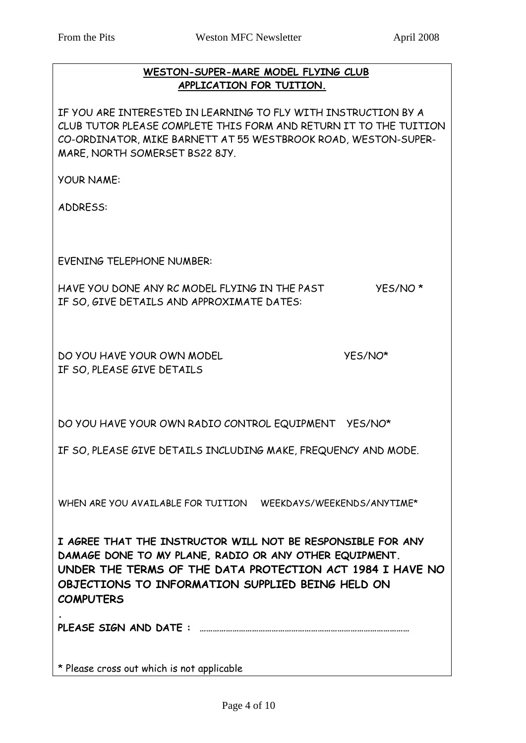#### **WESTON-SUPER-MARE MODEL FLYING CLUB APPLICATION FOR TUITION.**

IF YOU ARE INTERESTED IN LEARNING TO FLY WITH INSTRUCTION BY A CLUB TUTOR PLEASE COMPLETE THIS FORM AND RETURN IT TO THE TUITION CO-ORDINATOR, MIKE BARNETT AT 55 WESTBROOK ROAD, WESTON-SUPER-MARE, NORTH SOMERSET BS22 8JY.

YOUR NAME:

ADDRESS:

EVENING TELEPHONE NUMBER:

HAVE YOU DONE ANY RC MODEL FLYING IN THE PAST YES/NO \* IF SO, GIVE DETAILS AND APPROXIMATE DATES:

DO YOU HAVE YOUR OWN MODEL YES/NO\* IF SO, PLEASE GIVE DETAILS

DO YOU HAVE YOUR OWN RADIO CONTROL EQUIPMENT YES/NO\*

IF SO, PLEASE GIVE DETAILS INCLUDING MAKE, FREQUENCY AND MODE.

WHEN ARE YOU AVAILABLE FOR TUITION WEEKDAYS/WEEKENDS/ANYTIME\*

**I AGREE THAT THE INSTRUCTOR WILL NOT BE RESPONSIBLE FOR ANY DAMAGE DONE TO MY PLANE, RADIO OR ANY OTHER EQUIPMENT. UNDER THE TERMS OF THE DATA PROTECTION ACT 1984 I HAVE NO OBJECTIONS TO INFORMATION SUPPLIED BEING HELD ON COMPUTERS**

**PLEASE SIGN AND DATE : ……………………………………………………………………………………** 

\* Please cross out which is not applicable

**.**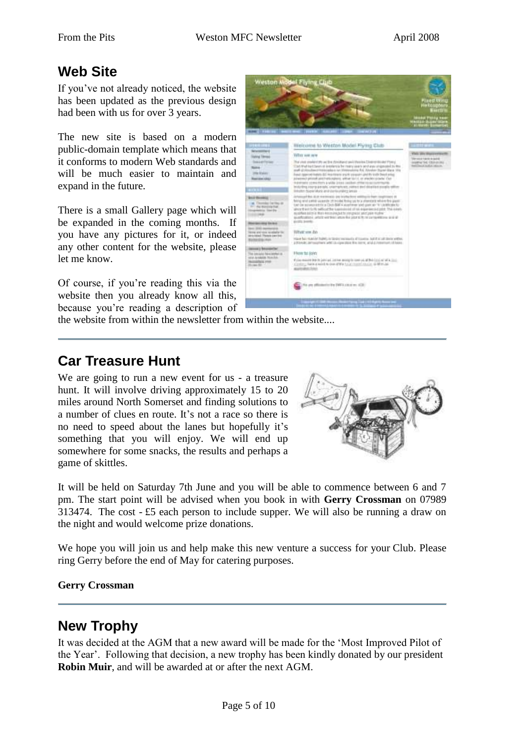#### **Web Site**

If you"ve not already noticed, the website has been updated as the previous design had been with us for over 3 years.

The new site is based on a modern public-domain template which means that it conforms to modern Web standards and will be much easier to maintain and expand in the future.

There is a small Gallery page which will be expanded in the coming months. If you have any pictures for it, or indeed any other content for the website, please let me know.

Of course, if you"re reading this via the website then you already know all this, because you"re reading a description of



the website from within the newsletter from within the website....

## **Car Treasure Hunt**

We are going to run a new event for us - a treasure hunt. It will involve driving approximately 15 to 20 miles around North Somerset and finding solutions to a number of clues en route. It"s not a race so there is no need to speed about the lanes but hopefully it's something that you will enjoy. We will end up somewhere for some snacks, the results and perhaps a game of skittles.



It will be held on Saturday 7th June and you will be able to commence between 6 and 7 pm. The start point will be advised when you book in with **Gerry Crossman** on 07989 313474. The cost - £5 each person to include supper. We will also be running a draw on the night and would welcome prize donations.

We hope you will join us and help make this new venture a success for your Club. Please ring Gerry before the end of May for catering purposes.

#### **Gerry Crossman**

#### **New Trophy**

It was decided at the AGM that a new award will be made for the "Most Improved Pilot of the Year". Following that decision, a new trophy has been kindly donated by our president **Robin Muir**, and will be awarded at or after the next AGM.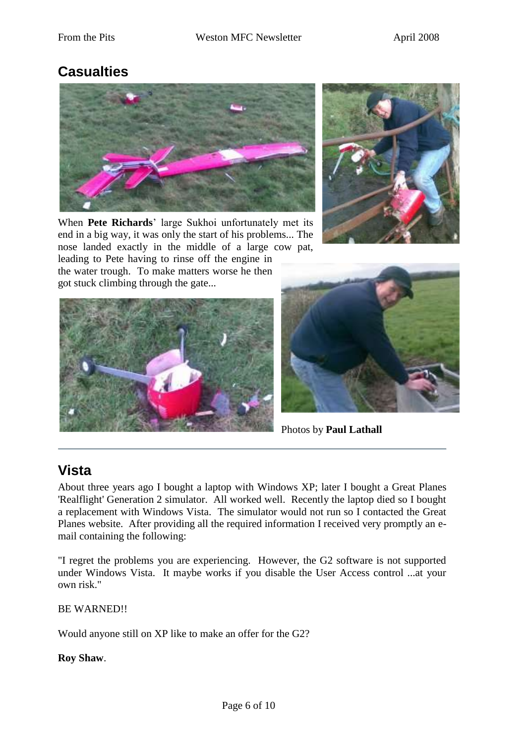## **Casualties**



When **Pete Richards**" large Sukhoi unfortunately met its end in a big way, it was only the start of his problems... The nose landed exactly in the middle of a large cow pat, leading to Pete having to rinse off the engine in

the water trough. To make matters worse he then got stuck climbing through the gate...







Photos by **Paul Lathall**

# **Vista**

About three years ago I bought a laptop with Windows XP; later I bought a Great Planes 'Realflight' Generation 2 simulator. All worked well. Recently the laptop died so I bought a replacement with Windows Vista. The simulator would not run so I contacted the Great Planes website. After providing all the required information I received very promptly an email containing the following:

"I regret the problems you are experiencing. However, the G2 software is not supported under Windows Vista. It maybe works if you disable the User Access control ...at your own risk."

BE WARNED!!

Would anyone still on XP like to make an offer for the G2?

**Roy Shaw**.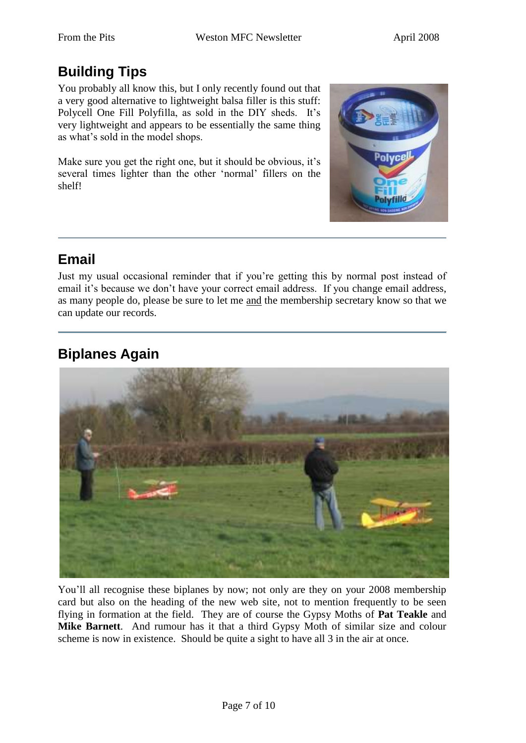# **Building Tips**

You probably all know this, but I only recently found out that a very good alternative to lightweight balsa filler is this stuff: Polycell One Fill Polyfilla, as sold in the DIY sheds. It's very lightweight and appears to be essentially the same thing as what"s sold in the model shops.

Make sure you get the right one, but it should be obvious, it's several times lighter than the other "normal" fillers on the shelf!



# **Email**

Just my usual occasional reminder that if you"re getting this by normal post instead of email it's because we don't have your correct email address. If you change email address, as many people do, please be sure to let me and the membership secretary know so that we can update our records.

# **Biplanes Again**



You'll all recognise these biplanes by now; not only are they on your 2008 membership card but also on the heading of the new web site, not to mention frequently to be seen flying in formation at the field. They are of course the Gypsy Moths of **Pat Teakle** and **Mike Barnett**. And rumour has it that a third Gypsy Moth of similar size and colour scheme is now in existence. Should be quite a sight to have all 3 in the air at once.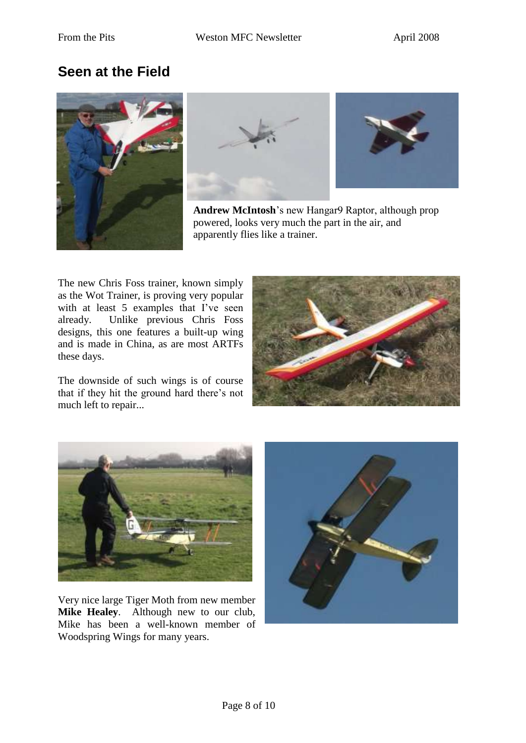## **Seen at the Field**







**Andrew McIntosh**"s new Hangar9 Raptor, although prop powered, looks very much the part in the air, and apparently flies like a trainer.

The new Chris Foss trainer, known simply as the Wot Trainer, is proving very popular with at least 5 examples that I've seen already. Unlike previous Chris Foss designs, this one features a built-up wing and is made in China, as are most ARTFs these days.

The downside of such wings is of course that if they hit the ground hard there"s not much left to repair...





Very nice large Tiger Moth from new member **Mike Healey**. Although new to our club, Mike has been a well-known member of Woodspring Wings for many years.

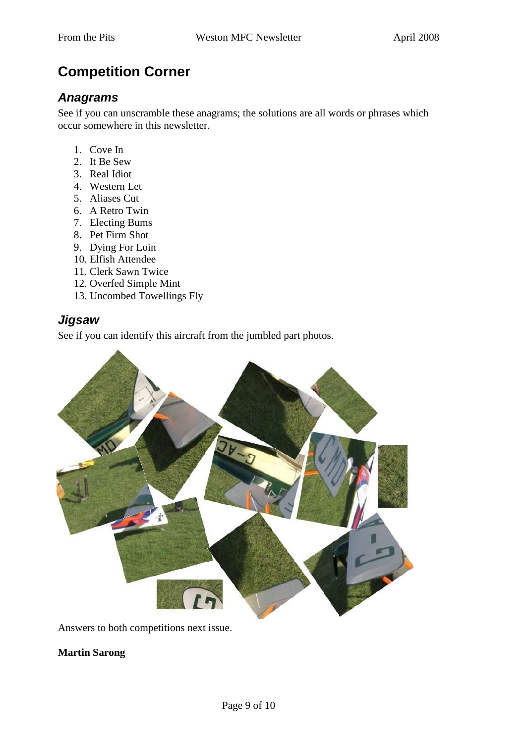# **Competition Corner**

#### *Anagrams*

See if you can unscramble these anagrams; the solutions are all words or phrases which occur somewhere in this newsletter.

- 1. Cove In
- 2. It Be Sew
- 3. Real Idiot
- 4. Western Let
- 5. Aliases Cut
- 6. A Retro Twin
- 7. Electing Bums
- 8. Pet Firm Shot
- 9. Dying For Loin
- 10. Elfish Attendee
- 11. Clerk Sawn Twice
- 12. Overfed Simple Mint
- 13. Uncombed Towellings Fly

#### *Jigsaw*

See if you can identify this aircraft from the jumbled part photos.



Answers to both competitions next issue.

#### **Martin Sarong**